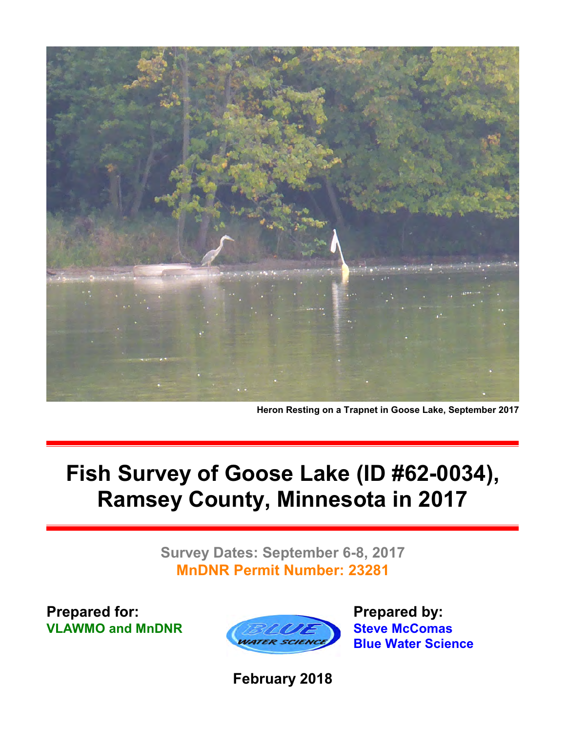

**Heron Resting on a Trapnet in Goose Lake, September 2017**

## **Fish Survey of Goose Lake (ID #62-0034), Ramsey County, Minnesota in 2017**

**Survey Dates: September 6-8, 2017 MnDNR Permit Number: 23281**

**Prepared for: VLAWMO and MnDNR**



**Prepared by: Steve McComas Blue Water Science**

**February 2018**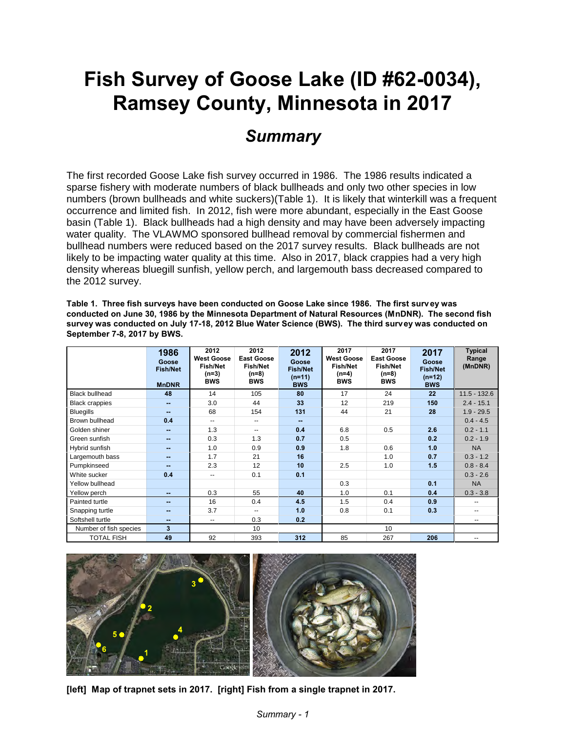## **Fish Survey of Goose Lake (ID #62-0034), Ramsey County, Minnesota in 2017**

#### *Summary*

The first recorded Goose Lake fish survey occurred in 1986. The 1986 results indicated a sparse fishery with moderate numbers of black bullheads and only two other species in low numbers (brown bullheads and white suckers)(Table 1). It is likely that winterkill was a frequent occurrence and limited fish. In 2012, fish were more abundant, especially in the East Goose basin (Table 1). Black bullheads had a high density and may have been adversely impacting water quality. The VLAWMO sponsored bullhead removal by commercial fishermen and bullhead numbers were reduced based on the 2017 survey results. Black bullheads are not likely to be impacting water quality at this time. Also in 2017, black crappies had a very high density whereas bluegill sunfish, yellow perch, and largemouth bass decreased compared to the 2012 survey.

**Table 1. Three fish surveys have been conducted on Goose Lake since 1986. The first survey was conducted on June 30, 1986 by the Minnesota Department of Natural Resources (MnDNR). The second fish survey was conducted on July 17-18, 2012 Blue Water Science (BWS). The third survey was conducted on September 7-8, 2017 by BWS.**

|                        | 1986<br>Goose<br><b>Fish/Net</b><br><b>MnDNR</b> | 2012<br><b>West Goose</b><br><b>Fish/Net</b><br>$(n=3)$<br><b>BWS</b> | 2012<br><b>East Goose</b><br><b>Fish/Net</b><br>$(n=8)$<br><b>BWS</b> | 2012<br>Goose<br><b>Fish/Net</b><br>$(n=11)$<br><b>BWS</b> | 2017<br><b>West Goose</b><br><b>Fish/Net</b><br>$(n=4)$<br><b>BWS</b> | 2017<br><b>East Goose</b><br><b>Fish/Net</b><br>(n=8)<br><b>BWS</b> | 2017<br>Goose<br><b>Fish/Net</b><br>$(n=12)$<br><b>BWS</b> | <b>Typical</b><br>Range<br>(MnDNR) |
|------------------------|--------------------------------------------------|-----------------------------------------------------------------------|-----------------------------------------------------------------------|------------------------------------------------------------|-----------------------------------------------------------------------|---------------------------------------------------------------------|------------------------------------------------------------|------------------------------------|
| <b>Black bullhead</b>  | 48                                               | 14                                                                    | 105                                                                   | 80                                                         | 17                                                                    | 24                                                                  | 22                                                         | $11.5 - 132.6$                     |
| <b>Black crappies</b>  | $-$                                              | 3.0                                                                   | 44                                                                    | 33                                                         | 12                                                                    | 219                                                                 | 150                                                        | $2.4 - 15.1$                       |
| <b>Bluegills</b>       | $-$                                              | 68                                                                    | 154                                                                   | 131                                                        | 44                                                                    | 21                                                                  | 28                                                         | $1.9 - 29.5$                       |
| Brown bullhead         | 0.4                                              | $\overline{\phantom{a}}$                                              | --                                                                    | --                                                         |                                                                       |                                                                     |                                                            | $0.4 - 4.5$                        |
| Golden shiner          | $\sim$                                           | 1.3                                                                   | --                                                                    | 0.4                                                        | 6.8                                                                   | 0.5                                                                 | 2.6                                                        | $0.2 - 1.1$                        |
| Green sunfish          | $\sim$                                           | 0.3                                                                   | 1.3                                                                   | 0.7                                                        | 0.5                                                                   |                                                                     | 0.2                                                        | $0.2 - 1.9$                        |
| Hybrid sunfish         | $-$                                              | 1.0                                                                   | 0.9                                                                   | 0.9                                                        | 1.8                                                                   | 0.6                                                                 | 1.0                                                        | <b>NA</b>                          |
| Largemouth bass        | $-$                                              | 1.7                                                                   | 21                                                                    | 16                                                         |                                                                       | 1.0                                                                 | 0.7                                                        | $0.3 - 1.2$                        |
| Pumpkinseed            | $-$                                              | 2.3                                                                   | 12                                                                    | 10                                                         | 2.5                                                                   | 1.0                                                                 | 1.5                                                        | $0.8 - 8.4$                        |
| White sucker           | 0.4                                              | $\overline{\phantom{a}}$                                              | 0.1                                                                   | 0.1                                                        |                                                                       |                                                                     |                                                            | $0.3 - 2.6$                        |
| Yellow bullhead        |                                                  |                                                                       |                                                                       |                                                            | 0.3                                                                   |                                                                     | 0.1                                                        | <b>NA</b>                          |
| Yellow perch           | $\sim$                                           | 0.3                                                                   | 55                                                                    | 40                                                         | 1.0                                                                   | 0.1                                                                 | 0.4                                                        | $0.3 - 3.8$                        |
| Painted turtle         | $\sim$                                           | 16                                                                    | 0.4                                                                   | 4.5                                                        | 1.5                                                                   | 0.4                                                                 | 0.9                                                        | ۵.                                 |
| Snapping turtle        | $\sim$                                           | 3.7                                                                   | --                                                                    | 1.0                                                        | 0.8                                                                   | 0.1                                                                 | 0.3                                                        | --                                 |
| Softshell turtle       | --                                               | $\overline{\phantom{a}}$                                              | 0.3                                                                   | 0.2                                                        |                                                                       |                                                                     |                                                            | --                                 |
| Number of fish species | 3                                                |                                                                       | 10                                                                    |                                                            |                                                                       | 10                                                                  |                                                            |                                    |
| <b>TOTAL FISH</b>      | 49                                               | 92                                                                    | 393                                                                   | 312                                                        | 85                                                                    | 267                                                                 | 206                                                        | $-$                                |



**[left] Map of trapnet sets in 2017. [right] Fish from a single trapnet in 2017.**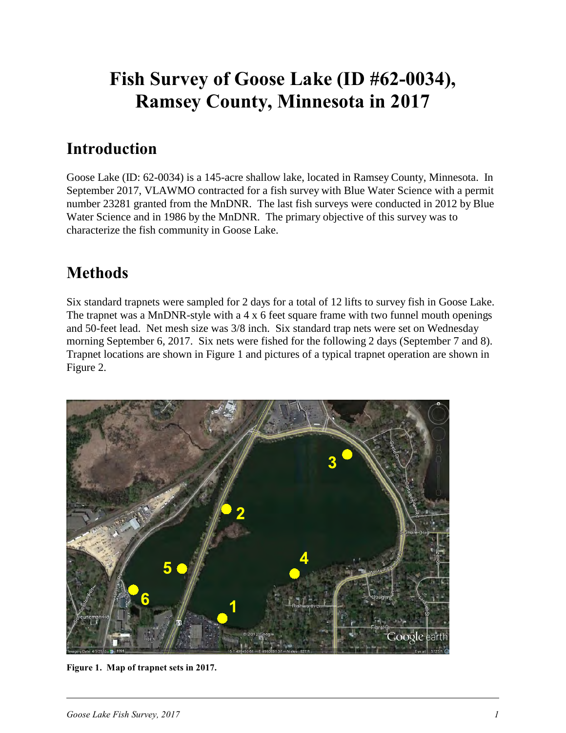## **Fish Survey of Goose Lake (ID #62-0034), Ramsey County, Minnesota in 2017**

#### **Introduction**

Goose Lake (ID: 62-0034) is a 145-acre shallow lake, located in Ramsey County, Minnesota. In September 2017, VLAWMO contracted for a fish survey with Blue Water Science with a permit number 23281 granted from the MnDNR. The last fish surveys were conducted in 2012 by Blue Water Science and in 1986 by the MnDNR. The primary objective of this survey was to characterize the fish community in Goose Lake.

### **Methods**

Six standard trapnets were sampled for 2 days for a total of 12 lifts to survey fish in Goose Lake. The trapnet was a MnDNR-style with a 4 x 6 feet square frame with two funnel mouth openings and 50-feet lead. Net mesh size was 3/8 inch. Six standard trap nets were set on Wednesday morning September 6, 2017. Six nets were fished for the following 2 days (September 7 and 8). Trapnet locations are shown in Figure 1 and pictures of a typical trapnet operation are shown in Figure 2.



**Figure 1. Map of trapnet sets in 2017.**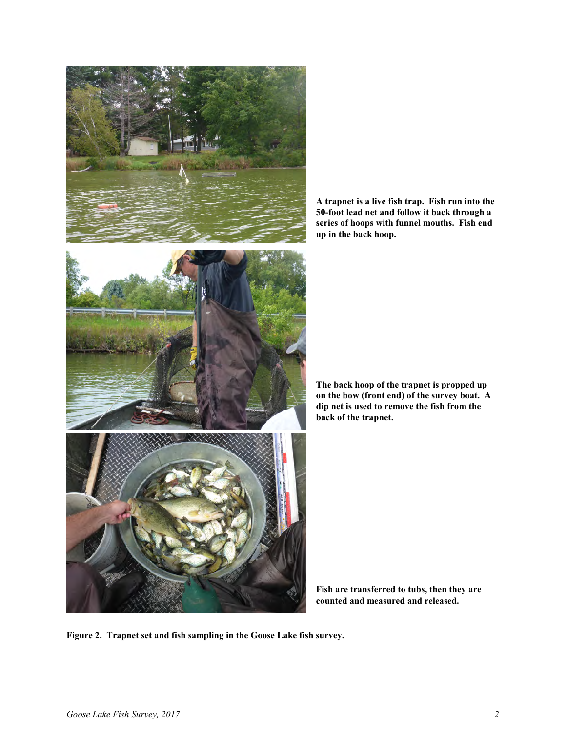



**The back hoop of the trapnet is propped up on the bow (front end) of the survey boat. A dip net is used to remove the fish from the back of the trapnet.** 

**Fish are transferred to tubs, then they are counted and measured and released.**

**Figure 2. Trapnet set and fish sampling in the Goose Lake fish survey.**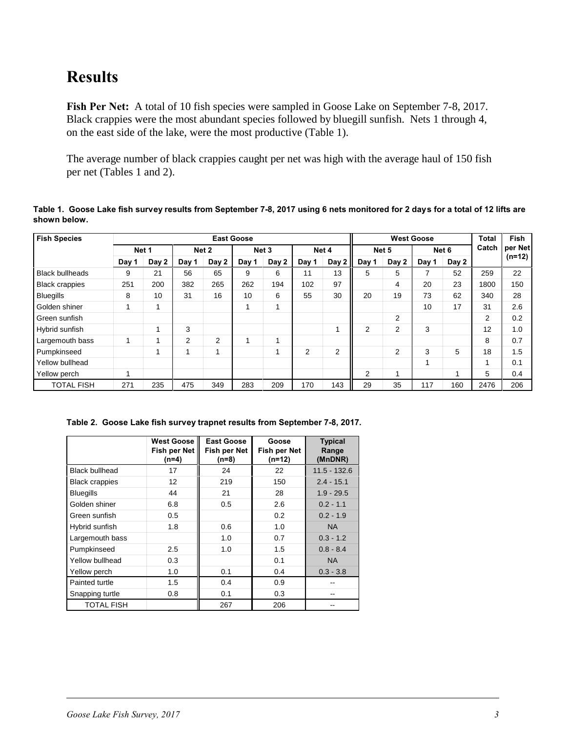#### **Results**

Fish Per Net: A total of 10 fish species were sampled in Goose Lake on September 7-8, 2017. Black crappies were the most abundant species followed by bluegill sunfish. Nets 1 through 4, on the east side of the lake, were the most productive (Table 1).

The average number of black crappies caught per net was high with the average haul of 150 fish per net (Tables 1 and 2).

**Table 1. Goose Lake fish survey results from September 7-8, 2017 using 6 nets monitored for 2 days for a total of 12 lifts are shown below.** 

| <b>Fish Species</b>    |       |       |       |       | <b>East Goose</b> |                  |                |              |       |                | <b>West Goose</b> |                  | <b>Total</b> | <b>Fish</b> |
|------------------------|-------|-------|-------|-------|-------------------|------------------|----------------|--------------|-------|----------------|-------------------|------------------|--------------|-------------|
|                        |       | Net 1 |       | Net 2 |                   | Net <sub>3</sub> |                | Net 4        |       | Net 5          |                   | Net <sub>6</sub> | Catch        | per Net     |
|                        | Day 1 | Day 2 | Day 1 | Day 2 | Day 1             | Day 2            | Day 1          | Day $2 \mid$ | Day 1 | Day 2          | Day 1             | Day 2            |              | $(n=12)$    |
| <b>Black bullheads</b> | 9     | 21    | 56    | 65    | 9                 | 6                | 11             | 13           | 5     | 5              | ⇁                 | 52               | 259          | 22          |
| <b>Black crappies</b>  | 251   | 200   | 382   | 265   | 262               | 194              | 102            | 97           |       | 4              | 20                | 23               | 1800         | 150         |
| <b>Bluegills</b>       | 8     | 10    | 31    | 16    | 10                | 6                | 55             | 30           | 20    | 19             | 73                | 62               | 340          | 28          |
| Golden shiner          |       |       |       |       | 1                 | 1                |                |              |       |                | 10                | 17               | 31           | 2.6         |
| Green sunfish          |       |       |       |       |                   |                  |                |              |       | $\overline{2}$ |                   |                  | 2            | 0.2         |
| Hybrid sunfish         |       |       | 3     |       |                   |                  |                |              | 2     | 2              | 3                 |                  | 12           | 1.0         |
| Largemouth bass        |       |       | 2     | 2     | 1                 | 4                |                |              |       |                |                   |                  | 8            | 0.7         |
| Pumpkinseed            |       |       |       | ۸     |                   |                  | $\overline{2}$ | 2            |       | 2              | 3                 | 5                | 18           | 1.5         |
| Yellow bullhead        |       |       |       |       |                   |                  |                |              |       |                |                   |                  | 1            | 0.1         |
| Yellow perch           |       |       |       |       |                   |                  |                |              | 2     |                |                   |                  | 5            | 0.4         |
| <b>TOTAL FISH</b>      | 271   | 235   | 475   | 349   | 283               | 209              | 170            | 143          | 29    | 35             | 117               | 160              | 2476         | 206         |

**Table 2. Goose Lake fish survey trapnet results from September 7-8, 2017.** 

|                       | <b>West Goose</b><br><b>Fish per Net</b><br>$(n=4)$ | <b>East Goose</b><br>Fish per Net<br>(n=8) | Goose<br>Fish per Net<br>$(n=12)$ | <b>Typical</b><br>Range<br>(MnDNR) |
|-----------------------|-----------------------------------------------------|--------------------------------------------|-----------------------------------|------------------------------------|
| <b>Black bullhead</b> | 17                                                  | 24                                         | 22                                | $11.5 - 132.6$                     |
| <b>Black crappies</b> | 12                                                  | 219                                        | 150                               | $2.4 - 15.1$                       |
| <b>Bluegills</b>      | 44                                                  | 21                                         | 28                                | $1.9 - 29.5$                       |
| Golden shiner         | 6.8                                                 | 0.5                                        | 2.6                               | $0.2 - 1.1$                        |
| Green sunfish         | 0.5                                                 |                                            | 0.2                               | $0.2 - 1.9$                        |
| Hybrid sunfish        | 1.8                                                 | 0.6                                        | 1.0                               | <b>NA</b>                          |
| Largemouth bass       |                                                     | 1.0                                        | 0.7                               | $0.3 - 1.2$                        |
| Pumpkinseed           | 2.5                                                 | 1.0                                        | 1.5                               | $0.8 - 8.4$                        |
| Yellow bullhead       | 0.3                                                 |                                            | 0.1                               | <b>NA</b>                          |
| Yellow perch          | 1.0                                                 | 0.1                                        | 0.4                               | $0.3 - 3.8$                        |
| Painted turtle        | 1.5                                                 | 0.4                                        | 0.9                               |                                    |
| Snapping turtle       | 0.8                                                 | 0.1                                        | 0.3                               | --                                 |
| <b>TOTAL FISH</b>     |                                                     | 267                                        | 206                               |                                    |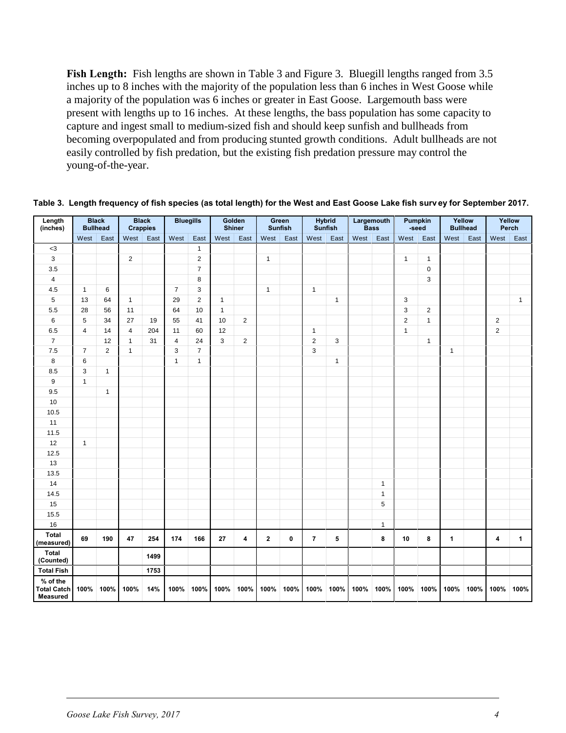Fish Length: Fish lengths are shown in Table 3 and Figure 3. Bluegill lengths ranged from 3.5 inches up to 8 inches with the majority of the population less than 6 inches in West Goose while a majority of the population was 6 inches or greater in East Goose. Largemouth bass were present with lengths up to 16 inches. At these lengths, the bass population has some capacity to capture and ingest small to medium-sized fish and should keep sunfish and bullheads from becoming overpopulated and from producing stunted growth conditions. Adult bullheads are not easily controlled by fish predation, but the existing fish predation pressure may control the young-of-the-year.

| Length<br>(inches)                                | <b>Bullhead</b>         | <b>Black</b>   |                | <b>Black</b><br><b>Crappies</b> |                | <b>Bluegills</b> |              | Golden<br><b>Shiner</b> |              | Green<br><b>Sunfish</b> |                | <b>Hybrid</b><br><b>Sunfish</b> |      | Largemouth<br><b>Bass</b> |                | Pumpkin<br>-seed |              | Yellow<br><b>Bullhead</b> | Yellow         | Perch        |
|---------------------------------------------------|-------------------------|----------------|----------------|---------------------------------|----------------|------------------|--------------|-------------------------|--------------|-------------------------|----------------|---------------------------------|------|---------------------------|----------------|------------------|--------------|---------------------------|----------------|--------------|
|                                                   | West                    | East           | West           | East                            | West           | East             | West         | East                    | West         | East                    | West           | East                            | West | East                      | West           | East             | West         | East                      | West           | East         |
| $3$                                               |                         |                |                |                                 |                | $\mathbf{1}$     |              |                         |              |                         |                |                                 |      |                           |                |                  |              |                           |                |              |
| $\mathsf 3$                                       |                         |                | $\overline{2}$ |                                 |                | $\overline{2}$   |              |                         | $\mathbf{1}$ |                         |                |                                 |      |                           | $\mathbf{1}$   | $\mathbf{1}$     |              |                           |                |              |
| 3.5                                               |                         |                |                |                                 |                | $\overline{7}$   |              |                         |              |                         |                |                                 |      |                           |                | $\mathbf 0$      |              |                           |                |              |
| 4                                                 |                         |                |                |                                 |                | 8                |              |                         |              |                         |                |                                 |      |                           |                | 3                |              |                           |                |              |
| 4.5                                               | $\mathbf{1}$            | 6              |                |                                 | $\overline{7}$ | 3                |              |                         | $\mathbf{1}$ |                         | $\mathbf{1}$   |                                 |      |                           |                |                  |              |                           |                |              |
| 5                                                 | 13                      | 64             | $\mathbf{1}$   |                                 | 29             | $\overline{2}$   | $\mathbf{1}$ |                         |              |                         |                | $\mathbf{1}$                    |      |                           | 3              |                  |              |                           |                | $\mathbf{1}$ |
| 5.5                                               | 28                      | 56             | 11             |                                 | 64             | 10               | $\mathbf{1}$ |                         |              |                         |                |                                 |      |                           | 3              | $\overline{2}$   |              |                           |                |              |
| 6                                                 | 5                       | 34             | 27             | 19                              | 55             | 41               | 10           | $\overline{2}$          |              |                         |                |                                 |      |                           | $\overline{2}$ | $\mathbf{1}$     |              |                           | $\overline{2}$ |              |
| 6.5                                               | $\overline{\mathbf{4}}$ | 14             | $\overline{4}$ | 204                             | 11             | 60               | 12           |                         |              |                         | $\mathbf{1}$   |                                 |      |                           | $\mathbf{1}$   |                  |              |                           | $\overline{2}$ |              |
| $\overline{7}$                                    |                         | 12             | $\mathbf{1}$   | 31                              | 4              | 24               | 3            | $\overline{2}$          |              |                         | $\overline{2}$ | 3                               |      |                           |                | $\mathbf{1}$     |              |                           |                |              |
| 7.5                                               | $\overline{7}$          | $\overline{2}$ | $\mathbf{1}$   |                                 | 3              | $\overline{7}$   |              |                         |              |                         | 3              |                                 |      |                           |                |                  | $\mathbf{1}$ |                           |                |              |
| $\bf8$                                            | 6                       |                |                |                                 | $\mathbf{1}$   | $\mathbf{1}$     |              |                         |              |                         |                | $\mathbf{1}$                    |      |                           |                |                  |              |                           |                |              |
| 8.5                                               | 3                       | $\mathbf{1}$   |                |                                 |                |                  |              |                         |              |                         |                |                                 |      |                           |                |                  |              |                           |                |              |
| $\boldsymbol{9}$                                  | $\mathbf{1}$            |                |                |                                 |                |                  |              |                         |              |                         |                |                                 |      |                           |                |                  |              |                           |                |              |
| 9.5                                               |                         | $\mathbf{1}$   |                |                                 |                |                  |              |                         |              |                         |                |                                 |      |                           |                |                  |              |                           |                |              |
| 10                                                |                         |                |                |                                 |                |                  |              |                         |              |                         |                |                                 |      |                           |                |                  |              |                           |                |              |
| 10.5                                              |                         |                |                |                                 |                |                  |              |                         |              |                         |                |                                 |      |                           |                |                  |              |                           |                |              |
| 11                                                |                         |                |                |                                 |                |                  |              |                         |              |                         |                |                                 |      |                           |                |                  |              |                           |                |              |
| 11.5                                              |                         |                |                |                                 |                |                  |              |                         |              |                         |                |                                 |      |                           |                |                  |              |                           |                |              |
| 12                                                | $\mathbf{1}$            |                |                |                                 |                |                  |              |                         |              |                         |                |                                 |      |                           |                |                  |              |                           |                |              |
| 12.5                                              |                         |                |                |                                 |                |                  |              |                         |              |                         |                |                                 |      |                           |                |                  |              |                           |                |              |
| 13                                                |                         |                |                |                                 |                |                  |              |                         |              |                         |                |                                 |      |                           |                |                  |              |                           |                |              |
| 13.5                                              |                         |                |                |                                 |                |                  |              |                         |              |                         |                |                                 |      |                           |                |                  |              |                           |                |              |
| 14                                                |                         |                |                |                                 |                |                  |              |                         |              |                         |                |                                 |      | $\mathbf{1}$              |                |                  |              |                           |                |              |
| 14.5                                              |                         |                |                |                                 |                |                  |              |                         |              |                         |                |                                 |      | $\mathbf{1}$              |                |                  |              |                           |                |              |
| 15                                                |                         |                |                |                                 |                |                  |              |                         |              |                         |                |                                 |      | 5                         |                |                  |              |                           |                |              |
| 15.5                                              |                         |                |                |                                 |                |                  |              |                         |              |                         |                |                                 |      |                           |                |                  |              |                           |                |              |
| 16                                                |                         |                |                |                                 |                |                  |              |                         |              |                         |                |                                 |      | $\mathbf{1}$              |                |                  |              |                           |                |              |
| Total<br>(measured)                               | 69                      | 190            | 47             | 254                             | 174            | 166              | 27           | 4                       | $\mathbf{2}$ | 0                       | $\overline{7}$ | 5                               |      | 8                         | 10             | 8                | 1            |                           | 4              | 1            |
| <b>Total</b><br>(Counted)                         |                         |                |                | 1499                            |                |                  |              |                         |              |                         |                |                                 |      |                           |                |                  |              |                           |                |              |
| <b>Total Fish</b>                                 |                         |                |                | 1753                            |                |                  |              |                         |              |                         |                |                                 |      |                           |                |                  |              |                           |                |              |
| % of the<br><b>Total Catch</b><br><b>Measured</b> | 100%                    | 100%           | 100%           | 14%                             | 100%           | 100%             | 100%         | 100%                    | 100%         | 100%                    | 100%           | 100%                            | 100% | 100%                      | 100%           | 100%             | 100%         | 100%                      | 100%           | 100%         |

**Table 3. Length frequency of fish species (as total length) for the West and East Goose Lake fish surv ey for September 2017.**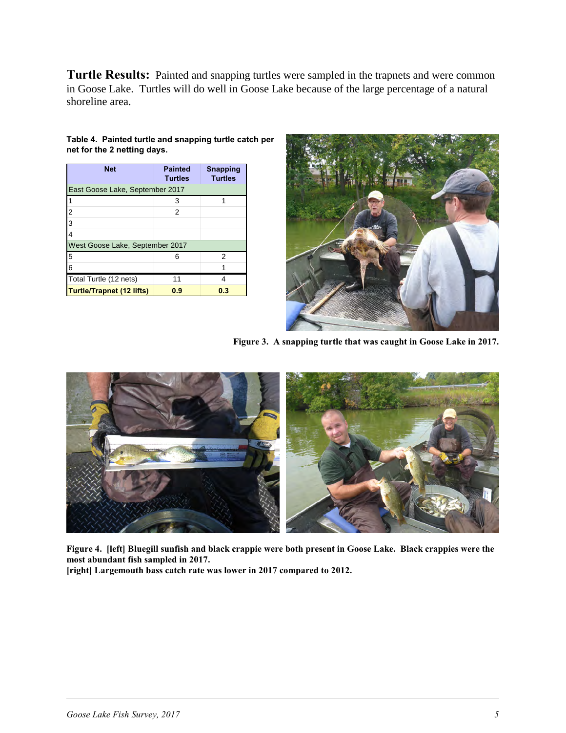Turtle Results: Painted and snapping turtles were sampled in the trapnets and were common in Goose Lake. Turtles will do well in Goose Lake because of the large percentage of a natural shoreline area.

| <b>Net</b>                       | <b>Painted</b><br><b>Turtles</b> | <b>Snapping</b><br><b>Turtles</b> |
|----------------------------------|----------------------------------|-----------------------------------|
| East Goose Lake, September 2017  |                                  |                                   |
| $\mathbf{1}$                     | 3                                | 1                                 |
| $\overline{2}$                   | 2                                |                                   |
| 3                                |                                  |                                   |
| $\overline{4}$                   |                                  |                                   |
| West Goose Lake, September 2017  |                                  |                                   |
| 5                                | ิค                               | 2                                 |
| 6                                |                                  |                                   |
| Total Turtle (12 nets)           | 11                               | Δ                                 |
| <b>Turtle/Trapnet (12 lifts)</b> | 0.9                              | 0.3                               |

#### **Table 4. Painted turtle and snapping turtle catch per net for the 2 netting days.**



**Figure 3. A snapping turtle that was caught in Goose Lake in 2017.**



**Figure 4. [left] Bluegill sunfish and black crappie were both present in Goose Lake. Black crappies were the most abundant fish sampled in 2017.**

**[right] Largemouth bass catch rate was lower in 2017 compared to 2012.**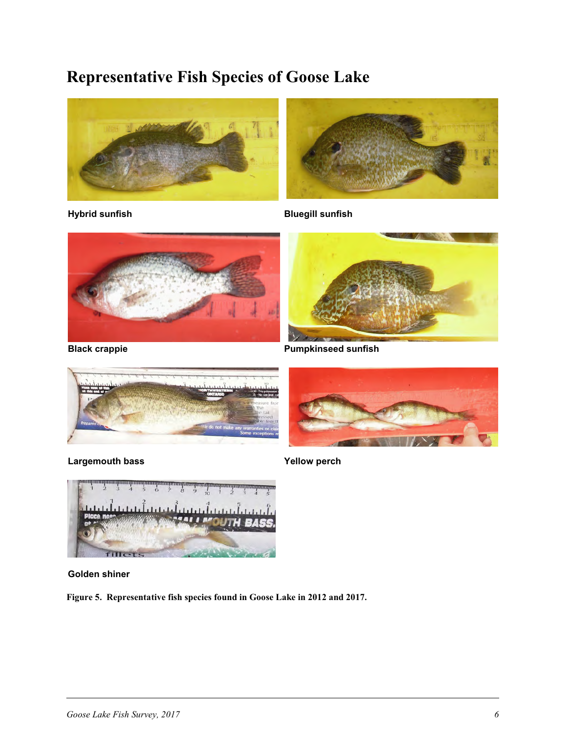### **Representative Fish Species of Goose Lake**





**Hybrid sunfish Bluegill sunfish**











**Golden shiner**

**Figure 5. Representative fish species found in Goose Lake in 2012 and 2017.**

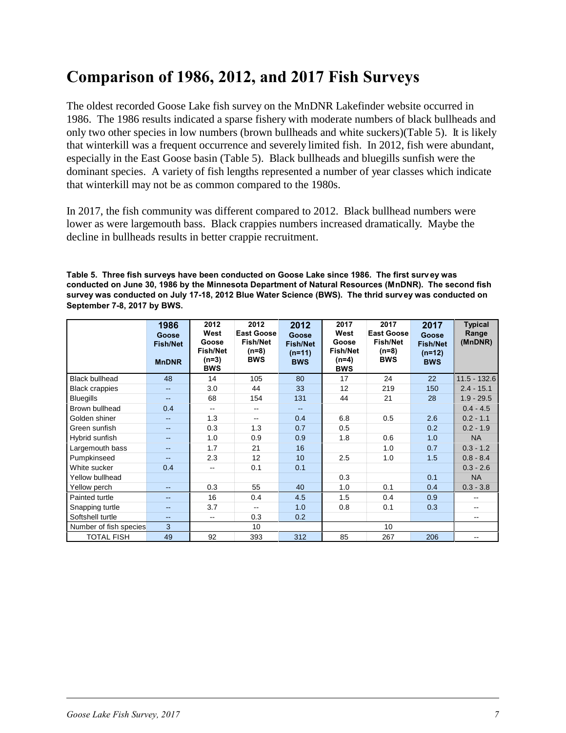### **Comparison of 1986, 2012, and 2017 Fish Surveys**

The oldest recorded Goose Lake fish survey on the MnDNR Lakefinder website occurred in 1986. The 1986 results indicated a sparse fishery with moderate numbers of black bullheads and only two other species in low numbers (brown bullheads and white suckers)(Table 5). It is likely that winterkill was a frequent occurrence and severely limited fish. In 2012, fish were abundant, especially in the East Goose basin (Table 5). Black bullheads and bluegills sunfish were the dominant species. A variety of fish lengths represented a number of year classes which indicate that winterkill may not be as common compared to the 1980s.

In 2017, the fish community was different compared to 2012. Black bullhead numbers were lower as were largemouth bass. Black crappies numbers increased dramatically. Maybe the decline in bullheads results in better crappie recruitment.

**Table 5. Three fish surveys have been conducted on Goose Lake since 1986. The first survey was conducted on June 30, 1986 by the Minnesota Department of Natural Resources (MnDNR). The second fish survey was conducted on July 17-18, 2012 Blue Water Science (BWS). The thrid survey was conducted on September 7-8, 2017 by BWS.**

|                        | 1986<br>Goose<br><b>Fish/Net</b><br><b>MnDNR</b> | 2012<br>West<br>Goose<br><b>Fish/Net</b><br>$(n=3)$<br><b>BWS</b> | 2012<br><b>East Goose</b><br><b>Fish/Net</b><br>(n=8)<br><b>BWS</b> | 2012<br>Goose<br><b>Fish/Net</b><br>$(n=11)$<br><b>BWS</b> | 2017<br>West<br>Goose<br><b>Fish/Net</b><br>(n=4)<br><b>BWS</b> | 2017<br><b>East Goose</b><br><b>Fish/Net</b><br>(n=8)<br><b>BWS</b> | 2017<br>Goose<br><b>Fish/Net</b><br>$(n=12)$<br><b>BWS</b> | <b>Typical</b><br>Range<br>(MnDNR) |
|------------------------|--------------------------------------------------|-------------------------------------------------------------------|---------------------------------------------------------------------|------------------------------------------------------------|-----------------------------------------------------------------|---------------------------------------------------------------------|------------------------------------------------------------|------------------------------------|
| <b>Black bullhead</b>  | 48                                               | 14                                                                | 105                                                                 | 80                                                         | 17                                                              | 24                                                                  | 22                                                         | $11.5 - 132.6$                     |
| <b>Black crappies</b>  | $-$                                              | 3.0                                                               | 44                                                                  | 33                                                         | 12                                                              | 219                                                                 | 150                                                        | $2.4 - 15.1$                       |
| <b>Bluegills</b>       | $\overline{\phantom{a}}$                         | 68                                                                | 154                                                                 | 131                                                        | 44                                                              | 21                                                                  | 28                                                         | $1.9 - 29.5$                       |
| Brown bullhead         | 0.4                                              | $\overline{\phantom{a}}$                                          | $\overline{\phantom{a}}$                                            | $\sim$ $\sim$                                              |                                                                 |                                                                     |                                                            | $0.4 - 4.5$                        |
| Golden shiner          | $\overline{a}$                                   | 1.3                                                               | $\overline{\phantom{a}}$                                            | 0.4                                                        | 6.8                                                             | 0.5                                                                 | 2.6                                                        | $0.2 - 1.1$                        |
| Green sunfish          | $\overline{\phantom{a}}$                         | 0.3                                                               | 1.3                                                                 | 0.7                                                        | 0.5                                                             |                                                                     | 0.2                                                        | $0.2 - 1.9$                        |
| Hybrid sunfish         | $\overline{\phantom{a}}$                         | 1.0                                                               | 0.9                                                                 | 0.9                                                        | 1.8                                                             | 0.6                                                                 | 1.0                                                        | <b>NA</b>                          |
| Largemouth bass        | $-$                                              | 1.7                                                               | 21                                                                  | 16                                                         |                                                                 | 1.0                                                                 | 0.7                                                        | $0.3 - 1.2$                        |
| Pumpkinseed            | $\qquad \qquad -$                                | 2.3                                                               | 12                                                                  | 10                                                         | 2.5                                                             | 1.0                                                                 | 1.5                                                        | $0.8 - 8.4$                        |
| White sucker           | 0.4                                              | $-$                                                               | 0.1                                                                 | 0.1                                                        |                                                                 |                                                                     |                                                            | $0.3 - 2.6$                        |
| Yellow bullhead        |                                                  |                                                                   |                                                                     |                                                            | 0.3                                                             |                                                                     | 0.1                                                        | <b>NA</b>                          |
| Yellow perch           | $-$                                              | 0.3                                                               | 55                                                                  | 40                                                         | 1.0                                                             | 0.1                                                                 | 0.4                                                        | $0.3 - 3.8$                        |
| Painted turtle         | $-$                                              | 16                                                                | 0.4                                                                 | 4.5                                                        | 1.5                                                             | 0.4                                                                 | 0.9                                                        | --                                 |
| Snapping turtle        | $\overline{\phantom{a}}$                         | 3.7                                                               | $- -$                                                               | 1.0                                                        | 0.8                                                             | 0.1                                                                 | 0.3                                                        | --                                 |
| Softshell turtle       | $-$                                              | $-$                                                               | 0.3                                                                 | 0.2                                                        |                                                                 |                                                                     |                                                            | --                                 |
| Number of fish species | 3                                                |                                                                   | 10                                                                  |                                                            |                                                                 | 10                                                                  |                                                            |                                    |
| <b>TOTAL FISH</b>      | 49                                               | 92                                                                | 393                                                                 | 312                                                        | 85                                                              | 267                                                                 | 206                                                        | --                                 |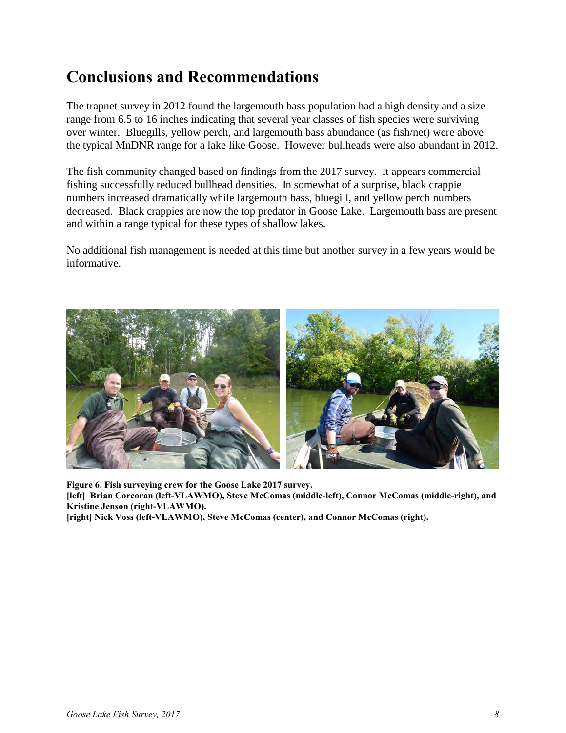#### **Conclusions and Recommendations**

The trapnet survey in 2012 found the largemouth bass population had a high density and a size range from 6.5 to 16 inches indicating that several year classes of fish species were surviving over winter. Bluegills, yellow perch, and largemouth bass abundance (as fish/net) were above the typical MnDNR range for a lake like Goose. However bullheads were also abundant in 2012.

The fish community changed based on findings from the 2017 survey. It appears commercial fishing successfully reduced bullhead densities. In somewhat of a surprise, black crappie numbers increased dramatically while largemouth bass, bluegill, and yellow perch numbers decreased. Black crappies are now the top predator in Goose Lake. Largemouth bass are present and within a range typical for these types of shallow lakes.

No additional fish management is needed at this time but another survey in a few years would be informative.



**Figure 6. Fish surveying crew for the Goose Lake 2017 survey. [left] Brian Corcoran (left-VLAWMO), Steve McComas (middle-left), Connor McComas (middle-right), and Kristine Jenson (right-VLAWMO).**

**[right] Nick Voss (left-VLAWMO), Steve McComas (center), and Connor McComas (right).**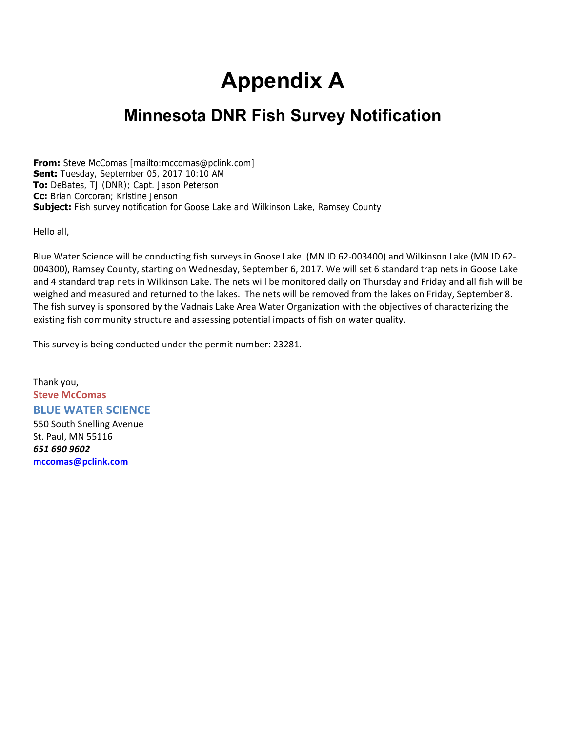# **Appendix A**

### **Minnesota DNR Fish Survey Notification**

**From:** Steve McComas [mailto:mccomas@pclink.com] **Sent:** Tuesday, September 05, 2017 10:10 AM **To:** DeBates, TJ (DNR); Capt. Jason Peterson **Cc:** Brian Corcoran; Kristine Jenson **Subject:** Fish survey notification for Goose Lake and Wilkinson Lake, Ramsey County

Hello all,

Blue Water Science will be conducting fish surveys in Goose Lake (MN ID 62-003400) and Wilkinson Lake (MN ID 62- 004300), Ramsey County, starting on Wednesday, September 6, 2017. We will set 6 standard trap nets in Goose Lake and 4 standard trap nets in Wilkinson Lake. The nets will be monitored daily on Thursday and Friday and all fish will be weighed and measured and returned to the lakes. The nets will be removed from the lakes on Friday, September 8. The fish survey is sponsored by the Vadnais Lake Area Water Organization with the objectives of characterizing the existing fish community structure and assessing potential impacts of fish on water quality.

This survey is being conducted under the permit number: 23281.

Thank you, **Steve McComas BLUE WATER SCIENCE** 550 South Snelling Avenue St. Paul, MN 55116 *651 690 9602* **[mccomas@pclink.com](mailto:mccomas@pclink.com)**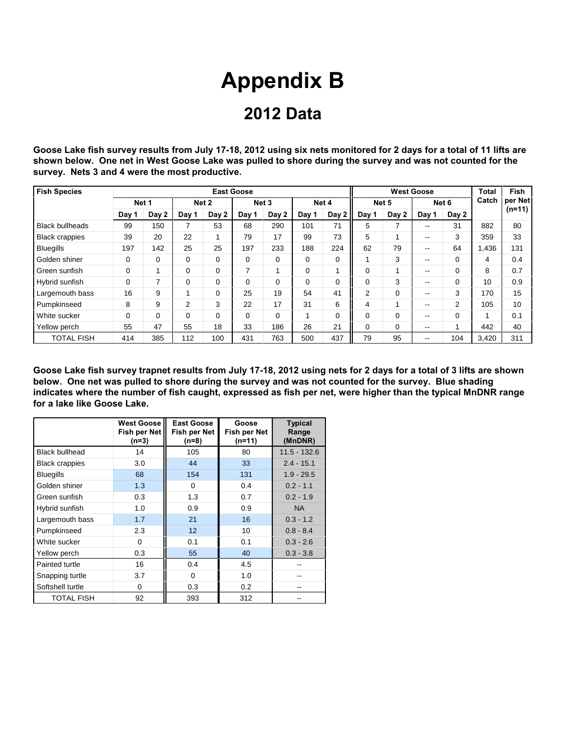# **Appendix B**

#### **2012 Data**

**Goose Lake fish survey results from July 17-18, 2012 using six nets monitored for 2 days for a total of 11 lifts are shown below. One net in West Goose Lake was pulled to shore during the survey and was not counted for the survey. Nets 3 and 4 were the most productive.**

| <b>Fish Species</b>    |          |       |          |          | <b>East Goose</b> |                  |          |          |             |                          | <b>West Goose</b>        |          | <b>Total</b> | <b>Fish</b> |
|------------------------|----------|-------|----------|----------|-------------------|------------------|----------|----------|-------------|--------------------------|--------------------------|----------|--------------|-------------|
|                        |          | Net 1 |          | Net 2    |                   | Net <sub>3</sub> |          | Net 4    | Net 5       |                          |                          | Net 6    | Catch        | per Net     |
|                        | Day 1    | Day 2 | Day 1    | Day 2    | Day 1             | Day 2            | Day 1    | Day 2    | Day 1       | Day 2                    | Day 1                    | Day 2    |              | $(n=11)$    |
| <b>Black bullheads</b> | 99       | 150   |          | 53       | 68                | 290              | 101      | 71       | 5           | $\overline{\phantom{a}}$ | --                       | 31       | 882          | 80          |
| <b>Black crappies</b>  | 39       | 20    | 22       |          | 79                | 17               | 99       | 73       | 5           |                          | --                       | 3        | 359          | 33          |
| <b>Bluegills</b>       | 197      | 142   | 25       | 25       | 197               | 233              | 188      | 224      | 62          | 79                       | $\overline{\phantom{a}}$ | 64       | 1,436        | 131         |
| Golden shiner          | 0        | 0     | 0        | $\Omega$ | 0                 | $\Omega$         | $\Omega$ | 0        |             | 3                        | --                       | $\Omega$ | 4            | 0.4         |
| Green sunfish          | 0        |       | $\Omega$ | $\Omega$ | 7                 |                  | $\Omega$ |          | 0           |                          | --                       | 0        | 8            | 0.7         |
| Hybrid sunfish         | $\Omega$ |       | $\Omega$ | $\Omega$ | $\Omega$          | $\Omega$         | $\Omega$ | $\Omega$ | $\Omega$    | 3                        | $- -$                    | $\Omega$ | 10           | 0.9         |
| Largemouth bass        | 16       | 9     |          | $\Omega$ | 25                | 19               | 54       | 41       | 2           | $\Omega$                 | $- -$                    | 3        | 170          | 15          |
| Pumpkinseed            | 8        | 9     | 2        | 3        | 22                | 17               | 31       | 6        | 4           |                          | --                       | 2        | 105          | 10          |
| White sucker           | $\Omega$ | 0     | $\Omega$ | $\Omega$ | $\Omega$          | $\Omega$         |          | $\Omega$ | $\Omega$    | $\Omega$                 | $- -$                    | $\Omega$ | 1            | 0.1         |
| Yellow perch           | 55       | 47    | 55       | 18       | 33                | 186              | 26       | 21       | $\mathbf 0$ | $\Omega$                 | --                       | 4        | 442          | 40          |
| <b>TOTAL FISH</b>      | 414      | 385   | 112      | 100      | 431               | 763              | 500      | 437      | 79          | 95                       | --                       | 104      | 3,420        | 311         |

**Goose Lake fish survey trapnet results from July 17-18, 2012 using nets for 2 days for a total of 3 lifts are shown below. One net was pulled to shore during the survey and was not counted for the survey. Blue shading indicates where the number of fish caught, expressed as fish per net, were higher than the typical MnDNR range for a lake like Goose Lake.**

|                       | <b>West Goose</b><br>Fish per Net<br>(n=3) | <b>East Goose</b><br>Fish per Net<br>$(n=8)$ | Goose<br>Fish per Net<br>$(n=11)$ | <b>Typical</b><br>Range<br>(MnDNR) |
|-----------------------|--------------------------------------------|----------------------------------------------|-----------------------------------|------------------------------------|
| <b>Black bullhead</b> | 14                                         | 105                                          | 80                                | $11.5 - 132.6$                     |
| <b>Black crappies</b> | 3.0                                        | 44                                           | 33                                | $2.4 - 15.1$                       |
| <b>Bluegills</b>      | 68                                         | 154                                          | 131                               | $1.9 - 29.5$                       |
| Golden shiner         | 1.3                                        | 0                                            | 0.4                               | $0.2 - 1.1$                        |
| Green sunfish         | 0.3                                        | 1.3                                          | 0.7                               | $0.2 - 1.9$                        |
| Hybrid sunfish        | 1.0                                        | 0.9                                          | 0.9                               | <b>NA</b>                          |
| Largemouth bass       | 1.7                                        | 21                                           | 16                                | $0.3 - 1.2$                        |
| Pumpkinseed           | 2.3                                        | 12                                           | 10                                | $0.8 - 8.4$                        |
| White sucker          | 0                                          | 0.1                                          | 0.1                               | $0.3 - 2.6$                        |
| Yellow perch          | 0.3                                        | 55                                           | 40                                | $0.3 - 3.8$                        |
| Painted turtle        | 16                                         | 0.4                                          | 4.5                               |                                    |
| Snapping turtle       | 3.7                                        | $\Omega$                                     | 1.0                               |                                    |
| Softshell turtle      | $\Omega$                                   | 0.3                                          | 0.2                               |                                    |
| <b>TOTAL FISH</b>     | 92                                         | 393                                          | 312                               |                                    |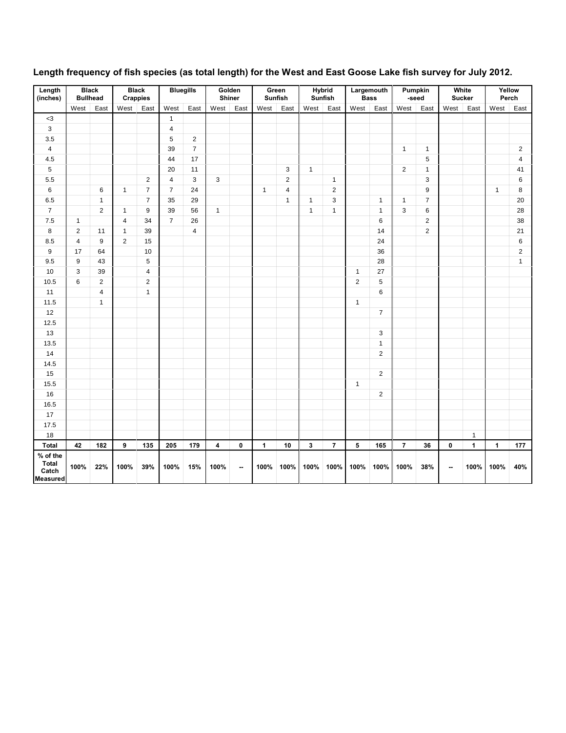| Length<br>(inches)                                   | <b>Black</b>   | <b>Bullhead</b>         | <b>Crappies</b>         | <b>Black</b>   |                         | <b>Bluegills</b> | Golden<br>Shiner |      |              | Green<br>Sunfish        |              | <b>Hybrid</b><br>Sunfish | <b>Bass</b>    | Largemouth     | Pumpkin        | -seed            |                          | White<br><b>Sucker</b> |              | Yellow<br>Perch |
|------------------------------------------------------|----------------|-------------------------|-------------------------|----------------|-------------------------|------------------|------------------|------|--------------|-------------------------|--------------|--------------------------|----------------|----------------|----------------|------------------|--------------------------|------------------------|--------------|-----------------|
|                                                      | West           | East                    | West                    | East           | West                    | East             | West             | East | West         | East                    | West         | East                     | West           | East           | West           | East             | West                     | East                   | West         | East            |
| $<3\,$                                               |                |                         |                         |                | $\mathbf{1}$            |                  |                  |      |              |                         |              |                          |                |                |                |                  |                          |                        |              |                 |
| $\mathsf 3$                                          |                |                         |                         |                | $\overline{4}$          |                  |                  |      |              |                         |              |                          |                |                |                |                  |                          |                        |              |                 |
| $3.5\,$                                              |                |                         |                         |                | $\sqrt{5}$              | $\mathbf 2$      |                  |      |              |                         |              |                          |                |                |                |                  |                          |                        |              |                 |
| $\pmb{4}$                                            |                |                         |                         |                | 39                      | $\boldsymbol{7}$ |                  |      |              |                         |              |                          |                |                | $\mathbf{1}$   | $\mathbf{1}$     |                          |                        |              | $\mathbf 2$     |
| $4.5\,$                                              |                |                         |                         |                | 44                      | 17               |                  |      |              |                         |              |                          |                |                |                | $\sqrt{5}$       |                          |                        |              | $\overline{4}$  |
| $\mathbf 5$                                          |                |                         |                         |                | 20                      | 11               |                  |      |              | 3                       | $\mathbf{1}$ |                          |                |                | $\overline{c}$ | $\mathbf{1}$     |                          |                        |              | 41              |
| 5.5                                                  |                |                         |                         | $\overline{2}$ | $\overline{\mathbf{4}}$ | $\mathsf 3$      | 3                |      |              | $\overline{c}$          |              | 1                        |                |                |                | 3                |                          |                        |              | 6               |
| 6                                                    |                | 6                       | $\mathbf{1}$            | $\overline{7}$ | $\overline{7}$          | 24               |                  |      | $\mathbf{1}$ | $\overline{\mathbf{4}}$ |              | $\overline{2}$           |                |                |                | 9                |                          |                        | $\mathbf{1}$ | 8               |
| 6.5                                                  |                | $\mathbf{1}$            |                         | $\overline{7}$ | 35                      | 29               |                  |      |              | $\mathbf{1}$            | $\mathbf{1}$ | $\mathbf{3}$             |                | $\mathbf{1}$   | $\mathbf{1}$   | $\overline{7}$   |                          |                        |              | 20              |
| $\overline{\mathbf{7}}$                              |                | $\overline{2}$          | $\mathbf{1}$            | 9              | 39                      | 56               | $\mathbf{1}$     |      |              |                         | $\mathbf{1}$ | $\mathbf{1}$             |                | $\mathbf{1}$   | 3              | 6                |                          |                        |              | 28              |
| 7.5                                                  | $\mathbf{1}$   |                         | $\overline{\mathbf{4}}$ | 34             | $\overline{7}$          | 26               |                  |      |              |                         |              |                          |                | 6              |                | $\boldsymbol{2}$ |                          |                        |              | 38              |
| 8                                                    | $\overline{2}$ | 11                      | $\overline{1}$          | 39             |                         | $\overline{4}$   |                  |      |              |                         |              |                          |                | 14             |                | $\overline{2}$   |                          |                        |              | 21              |
| 8.5                                                  | $\overline{4}$ | $\boldsymbol{9}$        | $\overline{2}$          | 15             |                         |                  |                  |      |              |                         |              |                          |                | 24             |                |                  |                          |                        |              | 6               |
| $\boldsymbol{9}$                                     | 17             | 64                      |                         | 10             |                         |                  |                  |      |              |                         |              |                          |                | 36             |                |                  |                          |                        |              | $\overline{2}$  |
| 9.5                                                  | 9              | 43                      |                         | $\sqrt{5}$     |                         |                  |                  |      |              |                         |              |                          |                | 28             |                |                  |                          |                        |              | $\mathbf{1}$    |
| 10                                                   | 3              | 39                      |                         | 4              |                         |                  |                  |      |              |                         |              |                          | 1              | 27             |                |                  |                          |                        |              |                 |
| 10.5                                                 | 6              | $\overline{2}$          |                         | 2              |                         |                  |                  |      |              |                         |              |                          | $\overline{2}$ | 5              |                |                  |                          |                        |              |                 |
| 11                                                   |                | $\overline{\mathbf{4}}$ |                         | $\mathbf{1}$   |                         |                  |                  |      |              |                         |              |                          |                | 6              |                |                  |                          |                        |              |                 |
| 11.5                                                 |                | $\mathbf{1}$            |                         |                |                         |                  |                  |      |              |                         |              |                          | $\mathbf{1}$   |                |                |                  |                          |                        |              |                 |
| 12                                                   |                |                         |                         |                |                         |                  |                  |      |              |                         |              |                          |                | $\overline{7}$ |                |                  |                          |                        |              |                 |
| 12.5                                                 |                |                         |                         |                |                         |                  |                  |      |              |                         |              |                          |                |                |                |                  |                          |                        |              |                 |
| 13                                                   |                |                         |                         |                |                         |                  |                  |      |              |                         |              |                          |                | 3              |                |                  |                          |                        |              |                 |
| 13.5                                                 |                |                         |                         |                |                         |                  |                  |      |              |                         |              |                          |                | $\mathbf{1}$   |                |                  |                          |                        |              |                 |
| $14$                                                 |                |                         |                         |                |                         |                  |                  |      |              |                         |              |                          |                | $\overline{2}$ |                |                  |                          |                        |              |                 |
| 14.5                                                 |                |                         |                         |                |                         |                  |                  |      |              |                         |              |                          |                |                |                |                  |                          |                        |              |                 |
| 15                                                   |                |                         |                         |                |                         |                  |                  |      |              |                         |              |                          |                | $\overline{2}$ |                |                  |                          |                        |              |                 |
| 15.5                                                 |                |                         |                         |                |                         |                  |                  |      |              |                         |              |                          | $\mathbf{1}$   |                |                |                  |                          |                        |              |                 |
| $16\,$                                               |                |                         |                         |                |                         |                  |                  |      |              |                         |              |                          |                | $\overline{2}$ |                |                  |                          |                        |              |                 |
| 16.5                                                 |                |                         |                         |                |                         |                  |                  |      |              |                         |              |                          |                |                |                |                  |                          |                        |              |                 |
| 17                                                   |                |                         |                         |                |                         |                  |                  |      |              |                         |              |                          |                |                |                |                  |                          |                        |              |                 |
| 17.5                                                 |                |                         |                         |                |                         |                  |                  |      |              |                         |              |                          |                |                |                |                  |                          |                        |              |                 |
| 18                                                   |                |                         |                         |                |                         |                  |                  |      |              |                         |              |                          |                |                |                |                  |                          | $\mathbf{1}$           |              |                 |
| Total                                                | 42             | 182                     | 9                       | 135            | 205                     | 179              | 4                | 0    | $\mathbf{1}$ | 10                      | 3            | $\overline{7}$           | 5              | 165            | $\overline{7}$ | 36               | $\pmb{0}$                | $\mathbf{1}$           | $\mathbf{1}$ | 177             |
| % of the<br><b>Total</b><br>Catch<br><b>Measured</b> | 100%           | 22%                     | 100%                    | 39%            | 100%                    | 15%              | 100%             | --   | 100%         | 100%                    | 100%         | 100%                     | 100%           | 100%           | 100%           | 38%              | $\overline{\phantom{a}}$ | 100%                   | 100%         | 40%             |

#### **Length frequency of fish species (as total length) for the West and East Goose Lake fish survey for July 2012.**